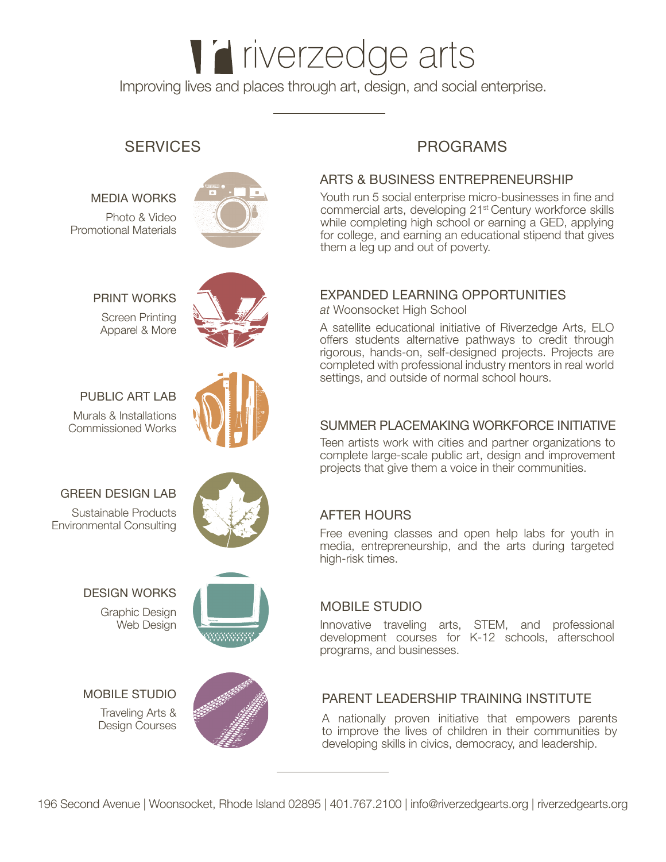# l'iverzedge arts Improving lives and places through art, design, and social enterprise.

#### MEDIA WORKS

Photo & Video Promotional Materials



PRINT WORKS

Screen Printing Apparel & More



# PUBLIC ART LAB

Murals & Installations Commissioned Works



Sustainable Products Environmental Consulting



## DESIGN WORKS

Graphic Design Web Desian



## MOBILE STUDIO

Traveling Arts & Design Courses



# SERVICES PROGRAMS

#### ARTS & BUSINESS ENTREPRENEURSHIP

Youth run 5 social enterprise micro-businesses in fine and commercial arts, developing 21st Century workforce skills while completing high school or earning a GED, applying for college, and earning an educational stipend that gives them a leg up and out of poverty.

#### EXPANDED LEARNING OPPORTUNITIES

*at* Woonsocket High School

A satellite educational initiative of Riverzedge Arts, ELO offers students alternative pathways to credit through rigorous, hands-on, self-designed projects. Projects are completed with professional industry mentors in real world settings, and outside of normal school hours.

#### SUMMER PLACEMAKING WORKFORCE INITIATIVE

Teen artists work with cities and partner organizations to complete large-scale public art, design and improvement projects that give them a voice in their communities.

## AFTER HOURS

Free evening classes and open help labs for youth in media, entrepreneurship, and the arts during targeted high-risk times.

## MOBILE STUDIO

Innovative traveling arts, STEM, and professional development courses for K-12 schools, afterschool programs, and businesses.

#### PARENT LEADERSHIP TRAINING INSTITUTE

A nationally proven initiative that empowers parents to improve the lives of children in their communities by developing skills in civics, democracy, and leadership.